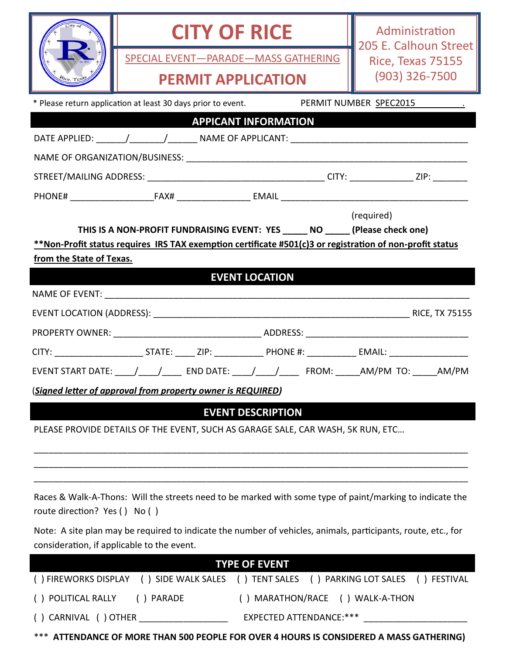|                                                                                                                                                                                                                                     | SPECIAL EVENT-PARADE-MASS GATHERING                                                                                                                         | <b>CITY OF RICE</b><br><b>PERMIT APPLICATION</b> |  | Administration<br>205 E. Calhoun Street<br>Rice, Texas 75155<br>$(903)$ 326-7500                         |  |
|-------------------------------------------------------------------------------------------------------------------------------------------------------------------------------------------------------------------------------------|-------------------------------------------------------------------------------------------------------------------------------------------------------------|--------------------------------------------------|--|----------------------------------------------------------------------------------------------------------|--|
|                                                                                                                                                                                                                                     | * Please return application at least 30 days prior to event.                                                                                                |                                                  |  | PERMIT NUMBER SPEC2015                                                                                   |  |
|                                                                                                                                                                                                                                     | <b>APPICANT INFORMATION</b>                                                                                                                                 |                                                  |  |                                                                                                          |  |
|                                                                                                                                                                                                                                     |                                                                                                                                                             |                                                  |  |                                                                                                          |  |
|                                                                                                                                                                                                                                     |                                                                                                                                                             |                                                  |  |                                                                                                          |  |
|                                                                                                                                                                                                                                     |                                                                                                                                                             |                                                  |  |                                                                                                          |  |
|                                                                                                                                                                                                                                     |                                                                                                                                                             |                                                  |  |                                                                                                          |  |
| (required)<br>THIS IS A NON-PROFIT FUNDRAISING EVENT: YES _____ NO _____ (Please check one)<br>**Non-Profit status requires IRS TAX exemption certificate #501(c)3 or registration of non-profit status<br>from the State of Texas. |                                                                                                                                                             |                                                  |  |                                                                                                          |  |
|                                                                                                                                                                                                                                     |                                                                                                                                                             | <b>EVENT LOCATION</b>                            |  |                                                                                                          |  |
|                                                                                                                                                                                                                                     |                                                                                                                                                             |                                                  |  |                                                                                                          |  |
|                                                                                                                                                                                                                                     |                                                                                                                                                             |                                                  |  |                                                                                                          |  |
|                                                                                                                                                                                                                                     |                                                                                                                                                             |                                                  |  |                                                                                                          |  |
|                                                                                                                                                                                                                                     |                                                                                                                                                             |                                                  |  | EVENT START DATE: _____/ _____/ ______ END DATE: _____/ _____/ ______ FROM: ______AM/PM_TO: ______AM/PM  |  |
|                                                                                                                                                                                                                                     |                                                                                                                                                             |                                                  |  |                                                                                                          |  |
|                                                                                                                                                                                                                                     | (Signed letter of approval from property owner is REQUIRED)                                                                                                 |                                                  |  |                                                                                                          |  |
|                                                                                                                                                                                                                                     | PLEASE PROVIDE DETAILS OF THE EVENT, SUCH AS GARAGE SALE, CAR WASH, 5K RUN, ETC                                                                             | <b>EVENT DESCRIPTION</b>                         |  |                                                                                                          |  |
| route direction? Yes () No ()                                                                                                                                                                                                       |                                                                                                                                                             |                                                  |  | Races & Walk-A-Thons: Will the streets need to be marked with some type of paint/marking to indicate the |  |
|                                                                                                                                                                                                                                     | Note: A site plan may be required to indicate the number of vehicles, animals, participants, route, etc., for<br>consideration, if applicable to the event. |                                                  |  |                                                                                                          |  |
|                                                                                                                                                                                                                                     |                                                                                                                                                             | <b>TYPE OF EVENT</b>                             |  |                                                                                                          |  |
|                                                                                                                                                                                                                                     |                                                                                                                                                             |                                                  |  | () FIREWORKS DISPLAY () SIDE WALK SALES () TENT SALES () PARKING LOT SALES () FESTIVAL                   |  |
|                                                                                                                                                                                                                                     | () POLITICAL RALLY<br>() MARATHON/RACE () WALK-A-THON<br>() PARADE                                                                                          |                                                  |  |                                                                                                          |  |
|                                                                                                                                                                                                                                     | () CARNIVAL () OTHER ___________________<br>EXPECTED ATTENDANCE:***                                                                                         |                                                  |  |                                                                                                          |  |

\*\*\* **ATTENDANCE OF MORE THAN 500 PEOPLE FOR OVER 4 HOURS IS CONSIDERED A MASS GATHERING)**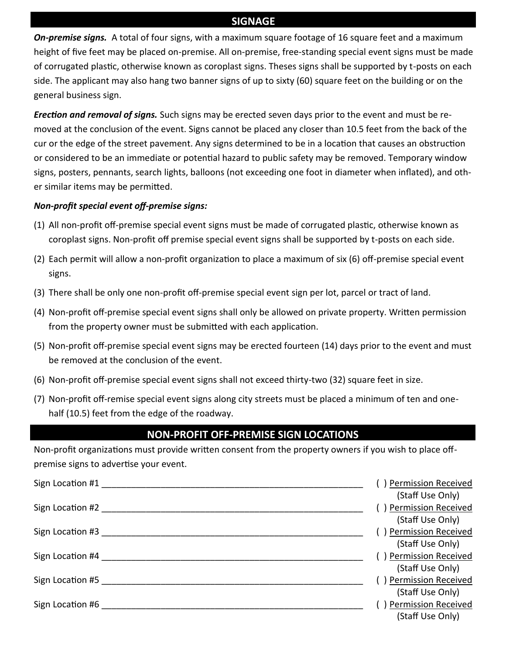# **SIGNAGE**

*On-premise signs.* A total of four signs, with a maximum square footage of 16 square feet and a maximum height of five feet may be placed on-premise. All on-premise, free-standing special event signs must be made of corrugated plastic, otherwise known as coroplast signs. Theses signs shall be supported by t-posts on each side. The applicant may also hang two banner signs of up to sixty (60) square feet on the building or on the general business sign.

*Erection and removal of signs.* Such signs may be erected seven days prior to the event and must be removed at the conclusion of the event. Signs cannot be placed any closer than 10.5 feet from the back of the cur or the edge of the street pavement. Any signs determined to be in a location that causes an obstruction or considered to be an immediate or potential hazard to public safety may be removed. Temporary window signs, posters, pennants, search lights, balloons (not exceeding one foot in diameter when inflated), and other similar items may be permitted.

### *Non-profit special event off-premise signs:*

- (1) All non-profit off-premise special event signs must be made of corrugated plastic, otherwise known as coroplast signs. Non-profit off premise special event signs shall be supported by t-posts on each side.
- (2) Each permit will allow a non-profit organization to place a maximum of six (6) off-premise special event signs.
- (3) There shall be only one non-profit off-premise special event sign per lot, parcel or tract of land.
- (4) Non-profit off-premise special event signs shall only be allowed on private property. Written permission from the property owner must be submitted with each application.
- (5) Non-profit off-premise special event signs may be erected fourteen (14) days prior to the event and must be removed at the conclusion of the event.
- (6) Non-profit off-premise special event signs shall not exceed thirty-two (32) square feet in size.
- (7) Non-profit off-remise special event signs along city streets must be placed a minimum of ten and onehalf (10.5) feet from the edge of the roadway.

## **NON-PROFIT OFF-PREMISE SIGN LOCATIONS**

Non-profit organizations must provide written consent from the property owners if you wish to place offpremise signs to advertise your event.

| <b>Permission Received</b> |
|----------------------------|
| (Staff Use Only)           |
| ) Permission Received      |
| (Staff Use Only)           |
| Permission Received        |
| (Staff Use Only)           |
| ) Permission Received      |
| (Staff Use Only)           |
| ) Permission Received      |
| (Staff Use Only)           |
| ) Permission Received      |
| (Staff Use Only)           |
|                            |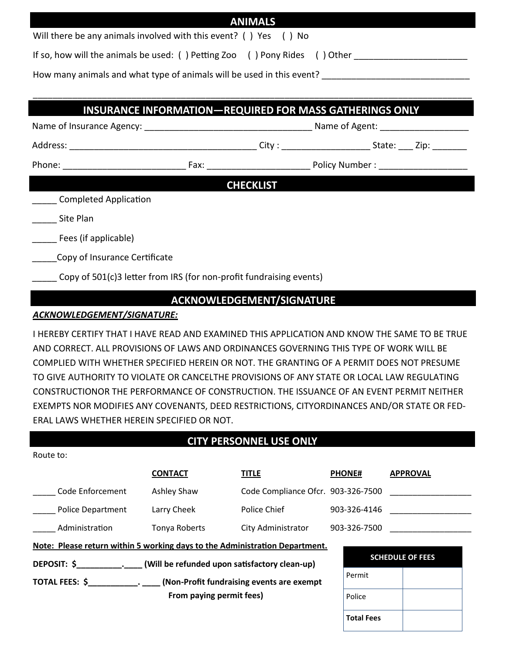|                                                                                                                                                   |  | <b>ANIMALS</b>   |  |  |  |
|---------------------------------------------------------------------------------------------------------------------------------------------------|--|------------------|--|--|--|
| Will there be any animals involved with this event? () Yes () No                                                                                  |  |                  |  |  |  |
| If so, how will the animals be used: () Petting Zoo () Pony Rides () Other ________________________                                               |  |                  |  |  |  |
| How many animals and what type of animals will be used in this event? [100] How many animals and what type of animals will be used in this event? |  |                  |  |  |  |
|                                                                                                                                                   |  |                  |  |  |  |
| <b>INSURANCE INFORMATION-REQUIRED FOR MASS GATHERINGS ONLY</b>                                                                                    |  |                  |  |  |  |
|                                                                                                                                                   |  |                  |  |  |  |
|                                                                                                                                                   |  |                  |  |  |  |
|                                                                                                                                                   |  |                  |  |  |  |
|                                                                                                                                                   |  | <b>CHECKLIST</b> |  |  |  |
| Completed Application                                                                                                                             |  |                  |  |  |  |
| Site Plan                                                                                                                                         |  |                  |  |  |  |
| Fees (if applicable)                                                                                                                              |  |                  |  |  |  |
| Copy of Insurance Certificate                                                                                                                     |  |                  |  |  |  |
| Copy of 501(c)3 letter from IRS (for non-profit fundraising events)                                                                               |  |                  |  |  |  |

## **ACKNOWLEDGEMENT/SIGNATURE**

#### *ACKNOWLEDGEMENT/SIGNATURE:*

Route to:

I HEREBY CERTIFY THAT I HAVE READ AND EXAMINED THIS APPLICATION AND KNOW THE SAME TO BE TRUE AND CORRECT. ALL PROVISIONS OF LAWS AND ORDINANCES GOVERNING THIS TYPE OF WORK WILL BE COMPLIED WITH WHETHER SPECIFIED HEREIN OR NOT. THE GRANTING OF A PERMIT DOES NOT PRESUME TO GIVE AUTHORITY TO VIOLATE OR CANCELTHE PROVISIONS OF ANY STATE OR LOCAL LAW REGULATING CONSTRUCTIONOR THE PERFORMANCE OF CONSTRUCTION. THE ISSUANCE OF AN EVENT PERMIT NEITHER EXEMPTS NOR MODIFIES ANY COVENANTS, DEED RESTRICTIONS, CITYORDINANCES AND/OR STATE OR FED-ERAL LAWS WHETHER HEREIN SPECIFIED OR NOT.

# **CITY PERSONNEL USE ONLY**

|                                                                             | <b>CONTACT</b> | <b>TITLE</b>                       | <b>PHONE#</b>     | <b>APPROVAL</b>         |  |  |
|-----------------------------------------------------------------------------|----------------|------------------------------------|-------------------|-------------------------|--|--|
| Code Enforcement                                                            | Ashley Shaw    | Code Compliance Ofcr. 903-326-7500 |                   |                         |  |  |
| <b>Police Department</b>                                                    | Larry Cheek    | Police Chief                       | 903-326-4146      |                         |  |  |
| Administration                                                              | Tonya Roberts  | City Administrator                 | 903-326-7500      |                         |  |  |
| Note: Please return within 5 working days to the Administration Department. |                |                                    |                   |                         |  |  |
| DEPOSIT: \$ (Will be refunded upon satisfactory clean-up)                   |                |                                    |                   | <b>SCHEDULE OF FEES</b> |  |  |
| TOTAL FEES: \$ (Non-Profit fundraising events are exempt                    |                |                                    | Permit            |                         |  |  |
| From paying permit fees)                                                    |                | Police                             |                   |                         |  |  |
|                                                                             |                |                                    | <b>Total Fees</b> |                         |  |  |